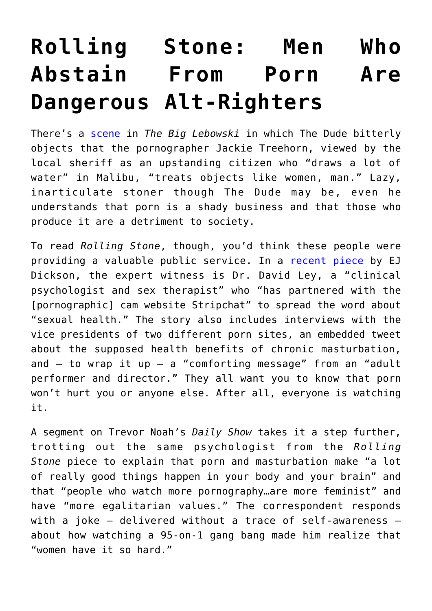## **[Rolling Stone: Men Who](https://intellectualtakeout.org/2019/11/rolling-stone-men-who-abstain-from-porn-are-dangerous-alt-righters/) [Abstain From Porn Are](https://intellectualtakeout.org/2019/11/rolling-stone-men-who-abstain-from-porn-are-dangerous-alt-righters/) [Dangerous Alt-Righters](https://intellectualtakeout.org/2019/11/rolling-stone-men-who-abstain-from-porn-are-dangerous-alt-righters/)**

There's a [scene](https://www.youtube.com/watch?v=hyL033PCPpE) in *The Big Lebowski* in which The Dude bitterly objects that the pornographer Jackie Treehorn, viewed by the local sheriff as an upstanding citizen who "draws a lot of water" in Malibu, "treats objects like women, man." Lazy, inarticulate stoner though The Dude may be, even he understands that porn is a shady business and that those who produce it are a detriment to society.

To read *Rolling Stone*, though, you'd think these people were providing a valuable public service. In a [recent piece](https://www.rollingstone.com/culture/culture-features/coomer-meme-no-nut-november-nofap-908676/) by EJ Dickson, the expert witness is Dr. David Ley, a "clinical psychologist and sex therapist" who "has partnered with the [pornographic] cam website Stripchat" to spread the word about "sexual health." The story also includes interviews with the vice presidents of two different porn sites, an embedded tweet about the supposed health benefits of chronic masturbation, and  $-$  to wrap it up  $-$  a "comforting message" from an "adult performer and director." They all want you to know that porn won't hurt you or anyone else. After all, everyone is watching it.

A segment on Trevor Noah's *Daily Show* takes it a step further, trotting out the same psychologist from the *Rolling Stone* piece to explain that porn and masturbation make "a lot of really good things happen in your body and your brain" and that "people who watch more pornography…are more feminist" and have "more egalitarian values." The correspondent responds with a joke – delivered without a trace of self-awareness – about how watching a 95-on-1 gang bang made him realize that "women have it so hard."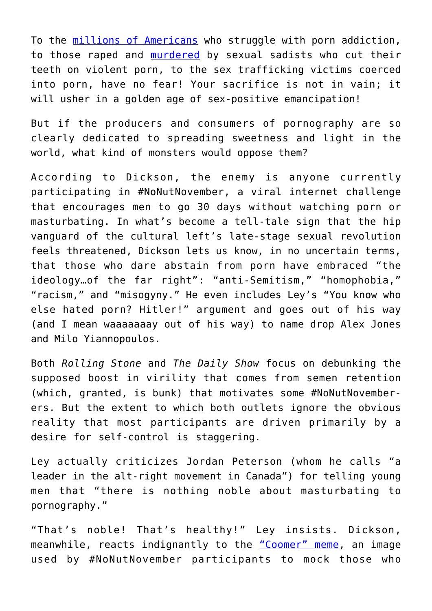To the [millions of Americans](https://www.therecoveryvillage.com/process-addiction/porn-addiction/related/pornography-statistics/#gref) who struggle with porn addiction, to those raped and [murdered](https://www.chicagotribune.com/news/ct-xpm-1989-01-24-8902270928-story.html) by sexual sadists who cut their teeth on violent porn, to the sex trafficking victims coerced into porn, have no fear! Your sacrifice is not in vain; it will usher in a golden age of sex-positive emancipation!

But if the producers and consumers of pornography are so clearly dedicated to spreading sweetness and light in the world, what kind of monsters would oppose them?

According to Dickson, the enemy is anyone currently participating in #NoNutNovember, a viral internet challenge that encourages men to go 30 days without watching porn or masturbating. In what's become a tell-tale sign that the hip vanguard of the cultural left's late-stage sexual revolution feels threatened, Dickson lets us know, in no uncertain terms, that those who dare abstain from porn have embraced "the ideology…of the far right": "anti-Semitism," "homophobia," "racism," and "misogyny." He even includes Ley's "You know who else hated porn? Hitler!" argument and goes out of his way (and I mean waaaaaaay out of his way) to name drop Alex Jones and Milo Yiannopoulos.

Both *Rolling Stone* and *The Daily Show* focus on debunking the supposed boost in virility that comes from semen retention (which, granted, is bunk) that motivates some #NoNutNovemberers. But the extent to which both outlets ignore the obvious reality that most participants are driven primarily by a desire for self-control is staggering.

Ley actually criticizes Jordan Peterson (whom he calls "a leader in the alt-right movement in Canada") for telling young men that "there is nothing noble about masturbating to pornography."

"That's noble! That's healthy!" Ley insists. Dickson, meanwhile, reacts indignantly to the ["Coomer" meme](https://www.google.com/url?sa=i&source=images&cd=&ved=2ahUKEwiIuOaCvOjlAhVJmeAKHWPOB3EQjRx6BAgBEAQ&url=https%3A%2F%2Fknowyourmeme.com%2Fphotos%2F1567755-coomer&psig=AOvVaw1EamGBoIQre5HRk1xgAO3m&ust=1573778527277025), an image used by #NoNutNovember participants to mock those who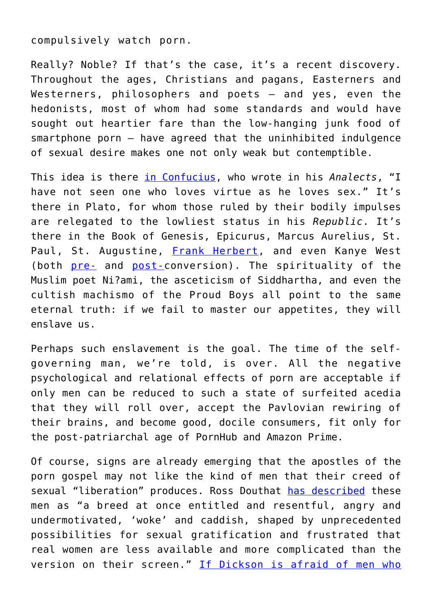compulsively watch porn.

Really? Noble? If that's the case, it's a recent discovery. Throughout the ages, Christians and pagans, Easterners and Westerners, philosophers and poets – and yes, even the hedonists, most of whom had some standards and would have sought out heartier fare than the low-hanging junk food of smartphone porn – have agreed that the uninhibited indulgence of sexual desire makes one not only weak but contemptible.

This idea is there [in Confucius,](https://pdfs.semanticscholar.org/f22d/63619fb975d757af0f92d38ac13a9cf418fc.pdf) who wrote in his *Analects*, "I have not seen one who loves virtue as he loves sex." It's there in Plato, for whom those ruled by their bodily impulses are relegated to the lowliest status in his *Republic*. It's there in the Book of Genesis, Epicurus, Marcus Aurelius, St. Paul, St. Augustine, [Frank Herbert](https://en.wikipedia.org/wiki/Honored_Matres), and even Kanye West (both [pre-](https://genius.com/annotations/55595/standalone_embed) and [post-](https://www.papermag.com/kanye-west-porn-addiction-2641095612.html)conversion). The spirituality of the Muslim poet Ni?ami, the asceticism of Siddhartha, and even the cultish machismo of the Proud Boys all point to the same eternal truth: if we fail to master our appetites, they will enslave us.

Perhaps such enslavement is the goal. The time of the selfgoverning man, we're told, is over. All the negative psychological and relational effects of porn are acceptable if only men can be reduced to such a state of surfeited acedia that they will roll over, accept the Pavlovian rewiring of their brains, and become good, docile consumers, fit only for the post-patriarchal age of PornHub and Amazon Prime.

Of course, signs are already emerging that the apostles of the porn gospel may not like the kind of men that their creed of sexual "liberation" produces. Ross Douthat [has described](https://www.nytimes.com/2018/02/10/opinion/sunday/lets-ban-porn.html) these men as "a breed at once entitled and resentful, angry and undermotivated, 'woke' and caddish, shaped by unprecedented possibilities for sexual gratification and frustrated that real women are less available and more complicated than the version on their screen." [If Dickson is afraid of men who](https://twitter.com/jordanbpeterson/status/845835178136104960)